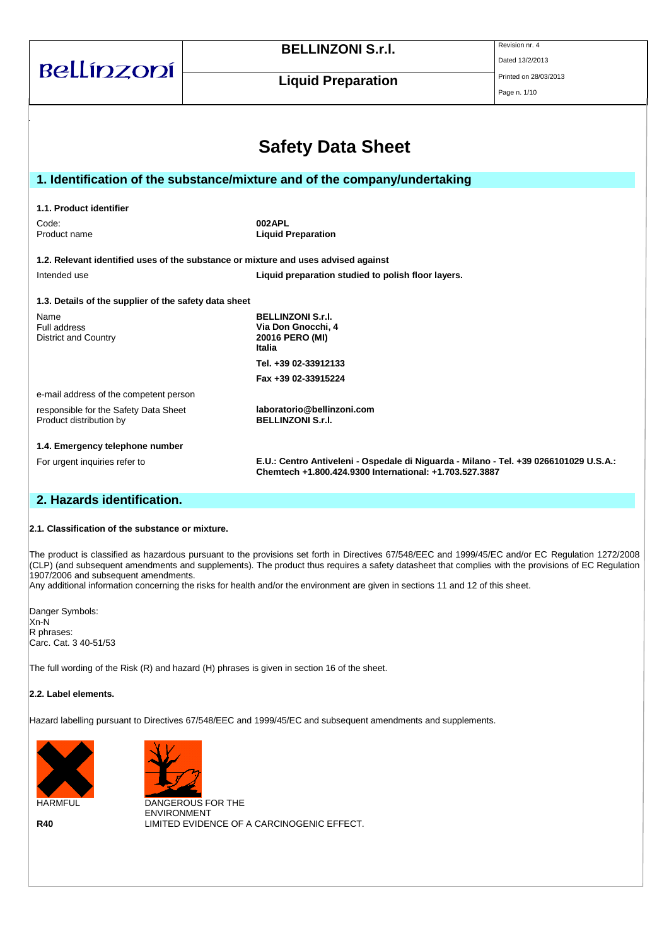| Bellínzoní                                                       | <b>BELLINZONI S.r.I.</b><br><b>Liquid Preparation</b>                                                                                            | Revision nr. 4<br>Dated 13/2/2013<br>Printed on 28/03/2013<br>Page n. 1/10 |  |
|------------------------------------------------------------------|--------------------------------------------------------------------------------------------------------------------------------------------------|----------------------------------------------------------------------------|--|
|                                                                  | <b>Safety Data Sheet</b><br>1. Identification of the substance/mixture and of the company/undertaking                                            |                                                                            |  |
|                                                                  |                                                                                                                                                  |                                                                            |  |
| 1.1. Product identifier                                          |                                                                                                                                                  |                                                                            |  |
| 002APL<br>Code:<br><b>Liquid Preparation</b><br>Product name     |                                                                                                                                                  |                                                                            |  |
|                                                                  | 1.2. Relevant identified uses of the substance or mixture and uses advised against                                                               |                                                                            |  |
| Intended use                                                     | Liquid preparation studied to polish floor layers.                                                                                               |                                                                            |  |
| 1.3. Details of the supplier of the safety data sheet            |                                                                                                                                                  |                                                                            |  |
| Name<br>Full address<br><b>District and Country</b>              | <b>BELLINZONI S.r.I.</b><br>Via Don Gnocchi, 4<br>20016 PERO (MI)<br>Italia                                                                      |                                                                            |  |
|                                                                  | Tel. +39 02-33912133                                                                                                                             |                                                                            |  |
|                                                                  | Fax +39 02-33915224                                                                                                                              |                                                                            |  |
| e-mail address of the competent person                           |                                                                                                                                                  |                                                                            |  |
| responsible for the Safety Data Sheet<br>Product distribution by | laboratorio@bellinzoni.com<br><b>BELLINZONI S.r.I.</b>                                                                                           |                                                                            |  |
| 1.4. Emergency telephone number                                  |                                                                                                                                                  |                                                                            |  |
| For urgent inquiries refer to                                    | E.U.: Centro Antiveleni - Ospedale di Niguarda - Milano - Tel. +39 0266101029 U.S.A.:<br>Chemtech +1.800.424.9300 International: +1.703.527.3887 |                                                                            |  |

## **2. Hazards identification.**

#### **2.1. Classification of the substance or mixture.**

The product is classified as hazardous pursuant to the provisions set forth in Directives 67/548/EEC and 1999/45/EC and/or EC Regulation 1272/2008  $|$ (CLP) (and subsequent amendments and supplements). The product thus requires a safety datasheet that complies with the provisions of EC Regulation 1907/2006 and subsequent amendments.

Any additional information concerning the risks for health and/or the environment are given in sections 11 and 12 of this sheet.

Danger Symbols: Xn-N R phrases: Carc. Cat. 3 40-51/53

The full wording of the Risk (R) and hazard (H) phrases is given in section 16 of the sheet.

#### **2.2. Label elements.**

Hazard labelling pursuant to Directives 67/548/EEC and 1999/45/EC and subsequent amendments and supplements.





HARMFUL DANGEROUS FOR THE ENVIRONMENT **R40** LIMITED EVIDENCE OF A CARCINOGENIC EFFECT.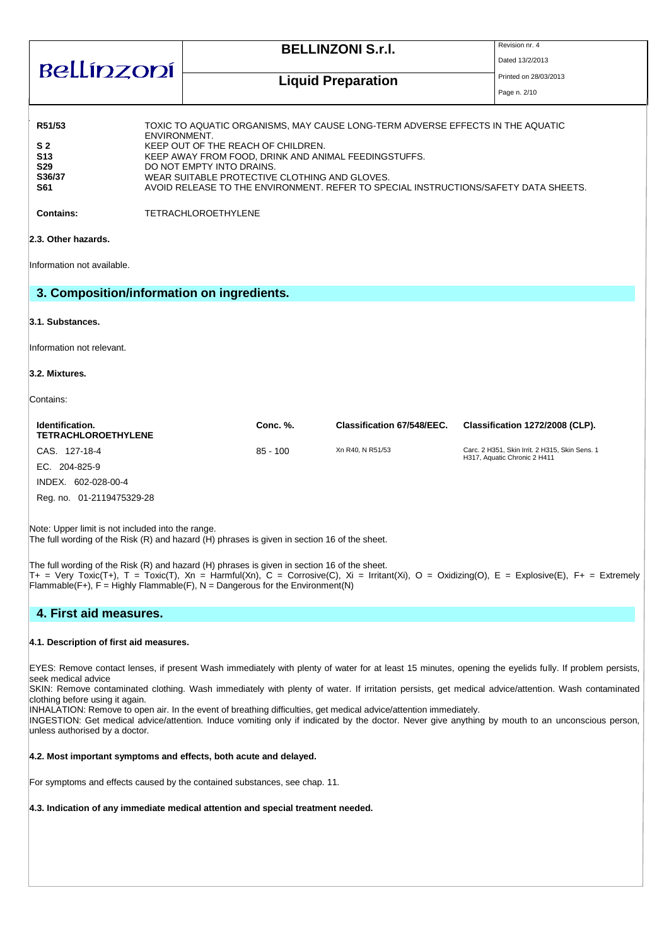| Bellínzoní                                                                                       |              | <b>BELLINZONI S.r.I.</b>                                                                                                                                                                                                                                                                                                                                                        | Revision nr. 4<br>Dated 13/2/2013 |
|--------------------------------------------------------------------------------------------------|--------------|---------------------------------------------------------------------------------------------------------------------------------------------------------------------------------------------------------------------------------------------------------------------------------------------------------------------------------------------------------------------------------|-----------------------------------|
|                                                                                                  |              | <b>Liquid Preparation</b>                                                                                                                                                                                                                                                                                                                                                       | Printed on 28/03/2013             |
|                                                                                                  |              |                                                                                                                                                                                                                                                                                                                                                                                 | Page n. 2/10                      |
| R51/53<br>S <sub>2</sub><br><b>S13</b><br><b>S29</b><br>S36/37<br><b>S61</b><br><b>Contains:</b> | ENVIRONMENT. | TOXIC TO AQUATIC ORGANISMS, MAY CAUSE LONG-TERM ADVERSE EFFECTS IN THE AQUATIC<br>KEEP OUT OF THE REACH OF CHILDREN.<br>KEEP AWAY FROM FOOD, DRINK AND ANIMAL FEEDINGSTUFFS.<br>DO NOT EMPTY INTO DRAINS.<br>WEAR SUITABLE PROTECTIVE CLOTHING AND GLOVES.<br>AVOID RELEASE TO THE ENVIRONMENT. REFER TO SPECIAL INSTRUCTIONS/SAFETY DATA SHEETS.<br><b>TETRACHLOROETHYLENE</b> |                                   |
| 2.3. Other hazards.                                                                              |              |                                                                                                                                                                                                                                                                                                                                                                                 |                                   |
| Information not available.                                                                       |              |                                                                                                                                                                                                                                                                                                                                                                                 |                                   |
|                                                                                                  |              | 3. Composition/information on ingredients.                                                                                                                                                                                                                                                                                                                                      |                                   |

#### **3.1. Substances.**

Information not relevant.

#### **3.2. Mixtures.**

Contains:

| Identification.<br><b>TETRACHLOROETHYLENE</b> | Conc. %.   | Classification 67/548/EEC. | Classification 1272/2008 (CLP).                                                |
|-----------------------------------------------|------------|----------------------------|--------------------------------------------------------------------------------|
| CAS. 127-18-4                                 | $85 - 100$ | Xn R40, N R51/53           | Carc. 2 H351, Skin Irrit. 2 H315, Skin Sens. 1<br>H317, Aquatic Chronic 2 H411 |
| EC. 204-825-9                                 |            |                            |                                                                                |
| INDEX.<br>602-028-00-4                        |            |                            |                                                                                |
| Reg. no. 01-2119475329-28                     |            |                            |                                                                                |

Note: Upper limit is not included into the range.

The full wording of the Risk (R) and hazard (H) phrases is given in section 16 of the sheet.

The full wording of the Risk (R) and hazard (H) phrases is given in section 16 of the sheet.  $T_+$  = Very Toxic(T+), T = Toxic(T), Xn = Harmful(Xn), C = Corrosive(C), Xi = Irritant(Xi), O = Oxidizing(O), E = Explosive(E), F+ = Extremely  $F$ lammable(F+), F = Highly Flammable(F), N = Dangerous for the Environment(N)

### **4. First aid measures.**

#### **4.1. Description of first aid measures.**

EYES: Remove contact lenses, if present Wash immediately with plenty of water for at least 15 minutes, opening the eyelids fully. If problem persists, seek medical advice

SKIN: Remove contaminated clothing. Wash immediately with plenty of water. If irritation persists, get medical advice/attention. Wash contaminated clothing before using it again.

INHALATION: Remove to open air. In the event of breathing difficulties, get medical advice/attention immediately.

INGESTION: Get medical advice/attention. Induce vomiting only if indicated by the doctor. Never give anything by mouth to an unconscious person, unless authorised by a doctor.

#### **4.2. Most important symptoms and effects, both acute and delayed.**

For symptoms and effects caused by the contained substances, see chap. 11.

#### **4.3. Indication of any immediate medical attention and special treatment needed.**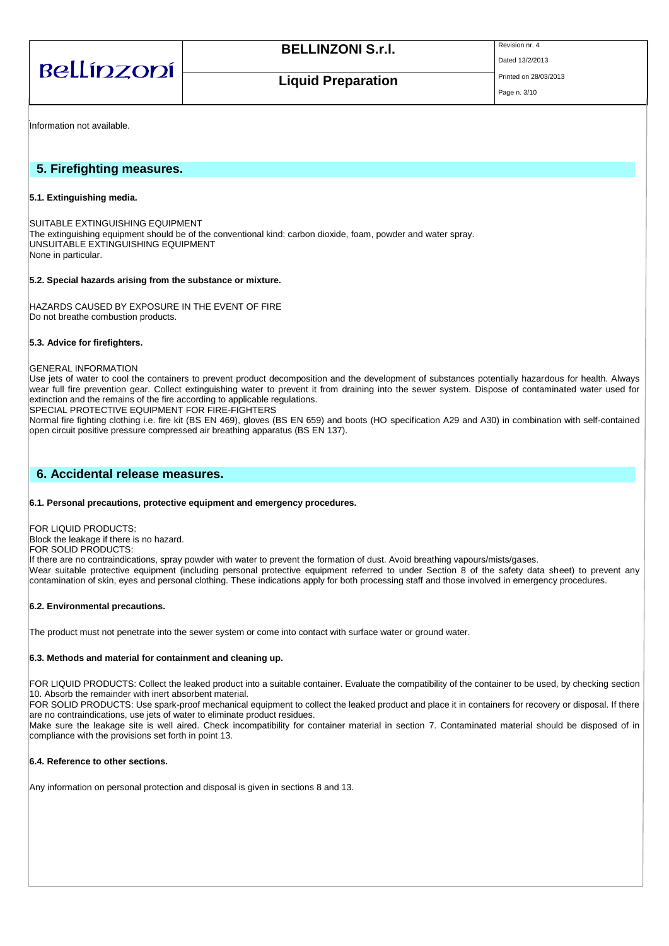| Bellínzoní |  |
|------------|--|
|            |  |

Page n. 3/10

Dated 13/2/2013

**Liquid Preparation** 

Information not available.

### **5. Firefighting measures.**

#### **5.1. Extinguishing media.**

SUITABLE EXTINGUISHING EQUIPMENT The extinguishing equipment should be of the conventional kind: carbon dioxide, foam, powder and water spray. UNSUITABLE EXTINGUISHING EQUIPMENT None in particular.

#### **5.2. Special hazards arising from the substance or mixture.**

HAZARDS CAUSED BY EXPOSURE IN THE EVENT OF FIRE Do not breathe combustion products.

#### **5.3. Advice for firefighters.**

#### GENERAL INFORMATION

Use jets of water to cool the containers to prevent product decomposition and the development of substances potentially hazardous for health. Always wear full fire prevention gear. Collect extinguishing water to prevent it from draining into the sewer system. Dispose of contaminated water used for extinction and the remains of the fire according to applicable regulations.

SPECIAL PROTECTIVE EQUIPMENT FOR FIRE-FIGHTERS

Normal fire fighting clothing i.e. fire kit (BS EN 469), gloves (BS EN 659) and boots (HO specification A29 and A30) in combination with self-contained open circuit positive pressure compressed air breathing apparatus (BS EN 137).

### **6. Accidental release measures.**

#### **6.1. Personal precautions, protective equipment and emergency procedures.**

FOR LIQUID PRODUCTS: Block the leakage if there is no hazard. FOR SOLID PRODUCTS: If there are no contraindications, spray powder with water to prevent the formation of dust. Avoid breathing vapours/mists/gases. Wear suitable protective equipment (including personal protective equipment referred to under Section 8 of the safety data sheet) to prevent any contamination of skin, eyes and personal clothing. These indications apply for both processing staff and those involved in emergency procedures.

#### **6.2. Environmental precautions.**

The product must not penetrate into the sewer system or come into contact with surface water or ground water.

#### **6.3. Methods and material for containment and cleaning up.**

FOR LIQUID PRODUCTS: Collect the leaked product into a suitable container. Evaluate the compatibility of the container to be used, by checking section 10. Absorb the remainder with inert absorbent material.

FOR SOLID PRODUCTS: Use spark-proof mechanical equipment to collect the leaked product and place it in containers for recovery or disposal. If there are no contraindications, use jets of water to eliminate product residues.

Make sure the leakage site is well aired. Check incompatibility for container material in section 7. Contaminated material should be disposed of in compliance with the provisions set forth in point 13.

#### **6.4. Reference to other sections.**

Any information on personal protection and disposal is given in sections 8 and 13.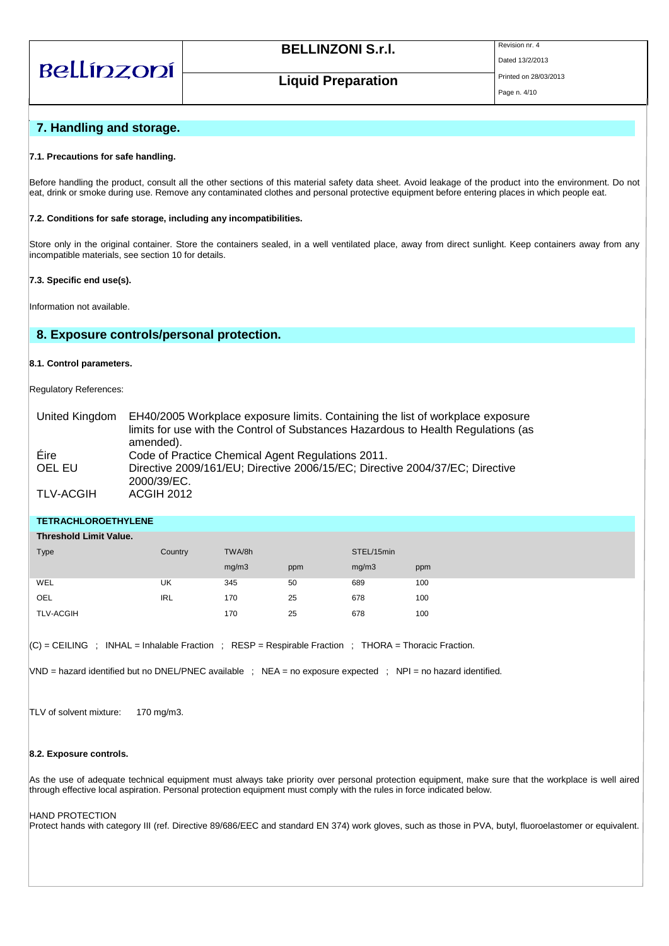# Bellínzoní

# **BELLINZONI S.r.I.** Revision nr. 4

Dated 13/2/2013

# **Liquid Preparation**

### Page n. 4/10

### **7. Handling and storage.**

#### **7.1. Precautions for safe handling.**

Before handling the product, consult all the other sections of this material safety data sheet. Avoid leakage of the product into the environment. Do not eat, drink or smoke during use. Remove any contaminated clothes and personal protective equipment before entering places in which people eat.

#### **7.2. Conditions for safe storage, including any incompatibilities.**

Store only in the original container. Store the containers sealed, in a well ventilated place, away from direct sunlight. Keep containers away from any incompatible materials, see section 10 for details.

#### **7.3. Specific end use(s).**

Information not available.

### **8. Exposure controls/personal protection.**

#### **8.1. Control parameters.**

Regulatory References:

| United Kingdom | EH40/2005 Workplace exposure limits. Containing the list of workplace exposure              |
|----------------|---------------------------------------------------------------------------------------------|
|                | limits for use with the Control of Substances Hazardous to Health Regulations (as           |
|                | amended).                                                                                   |
| Eire           | Code of Practice Chemical Agent Regulations 2011.                                           |
| OEL EU         | Directive 2009/161/EU; Directive 2006/15/EC; Directive 2004/37/EC; Directive<br>2000/39/EC. |
| TLV-ACGIH      | <b>ACGIH 2012</b>                                                                           |

**TETRACHLOROETHYLENE**

| <b>Threshold Limit Value.</b> |         |        |     |            |     |
|-------------------------------|---------|--------|-----|------------|-----|
| Type                          | Country | TWA/8h |     | STEL/15min |     |
|                               |         | mg/m3  | ppm | mg/m3      | ppm |
| WEL                           | UK      | 345    | 50  | 689        | 100 |
| OEL                           | IRL     | 170    | 25  | 678        | 100 |
| <b>TLV-ACGIH</b>              |         | 170    | 25  | 678        | 100 |

 $|CC|$  = CEILING ; INHAL = Inhalable Fraction ; RESP = Respirable Fraction ; THORA = Thoracic Fraction.

VND = hazard identified but no DNEL/PNEC available ; NEA = no exposure expected ; NPI = no hazard identified.

TLV of solvent mixture: 170 mg/m3.

#### **8.2. Exposure controls.**

As the use of adequate technical equipment must always take priority over personal protection equipment, make sure that the workplace is well aired through effective local aspiration. Personal protection equipment must comply with the rules in force indicated below.

#### HAND PROTECTION

Protect hands with category III (ref. Directive 89/686/EEC and standard EN 374) work gloves, such as those in PVA, butyl, fluoroelastomer or equivalent.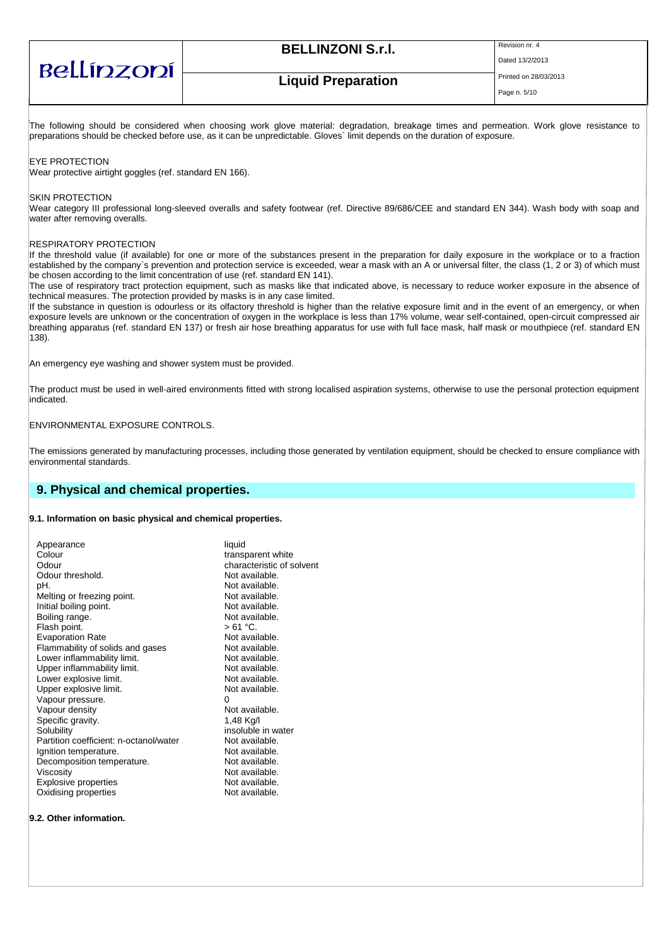| Bellínzoní |
|------------|
|------------|

# **BELLINZONI S.r.I.** Revision nr. 4

Dated 13/2/2013

# **Liquid Preparation**

Page n. 5/10

The following should be considered when choosing work glove material: degradation, breakage times and permeation. Work glove resistance to preparations should be checked before use, as it can be unpredictable. Gloves` limit depends on the duration of exposure.

EYE PROTECTION

Wear protective airtight goggles (ref. standard EN 166).

#### SKIN PROTECTION

Wear category III professional long-sleeved overalls and safety footwear (ref. Directive 89/686/CEE and standard EN 344). Wash body with soap and water after removing overalls.

#### RESPIRATORY PROTECTION

If the threshold value (if available) for one or more of the substances present in the preparation for daily exposure in the workplace or to a fraction established by the company`s prevention and protection service is exceeded, wear a mask with an A or universal filter, the class (1, 2 or 3) of which must be chosen according to the limit concentration of use (ref. standard EN 141).

The use of respiratory tract protection equipment, such as masks like that indicated above, is necessary to reduce worker exposure in the absence of technical measures. The protection provided by masks is in any case limited.

If the substance in question is odourless or its olfactory threshold is higher than the relative exposure limit and in the event of an emergency, or when exposure levels are unknown or the concentration of oxygen in the workplace is less than 17% volume, wear self-contained, open-circuit compressed air breathing apparatus (ref. standard EN 137) or fresh air hose breathing apparatus for use with full face mask, half mask or mouthpiece (ref. standard EN 138).

An emergency eye washing and shower system must be provided.

The product must be used in well-aired environments fitted with strong localised aspiration systems, otherwise to use the personal protection equipment indicated.

#### ENVIRONMENTAL EXPOSURE CONTROLS.

The emissions generated by manufacturing processes, including those generated by ventilation equipment, should be checked to ensure compliance with environmental standards.

### **9. Physical and chemical properties.**

#### **9.1. Information on basic physical and chemical properties.**

| Appearance                             | liquid                    |
|----------------------------------------|---------------------------|
| Colour                                 | transparent white         |
| Odour                                  | characteristic of solvent |
| Odour threshold.                       | Not available.            |
| pH.                                    | Not available.            |
| Melting or freezing point.             | Not available.            |
| Initial boiling point.                 | Not available.            |
| Boiling range.                         | Not available.            |
| Flash point.                           | $>61 °C$ .                |
| <b>Evaporation Rate</b>                | Not available.            |
| Flammability of solids and gases       | Not available.            |
| Lower inflammability limit.            | Not available.            |
| Upper inflammability limit.            | Not available.            |
| Lower explosive limit.                 | Not available.            |
| Upper explosive limit.                 | Not available.            |
| Vapour pressure.                       | 0                         |
| Vapour density                         | Not available.            |
| Specific gravity.                      | 1.48 Kg/l                 |
| Solubility                             | insoluble in water        |
| Partition coefficient: n-octanol/water | Not available.            |
| Ignition temperature.                  | Not available.            |
| Decomposition temperature.             | Not available.            |
| Viscosity                              | Not available.            |
|                                        |                           |
| <b>Explosive properties</b>            | Not available.            |
| Oxidising properties                   | Not available.            |
|                                        |                           |

#### **9.2. Other information.**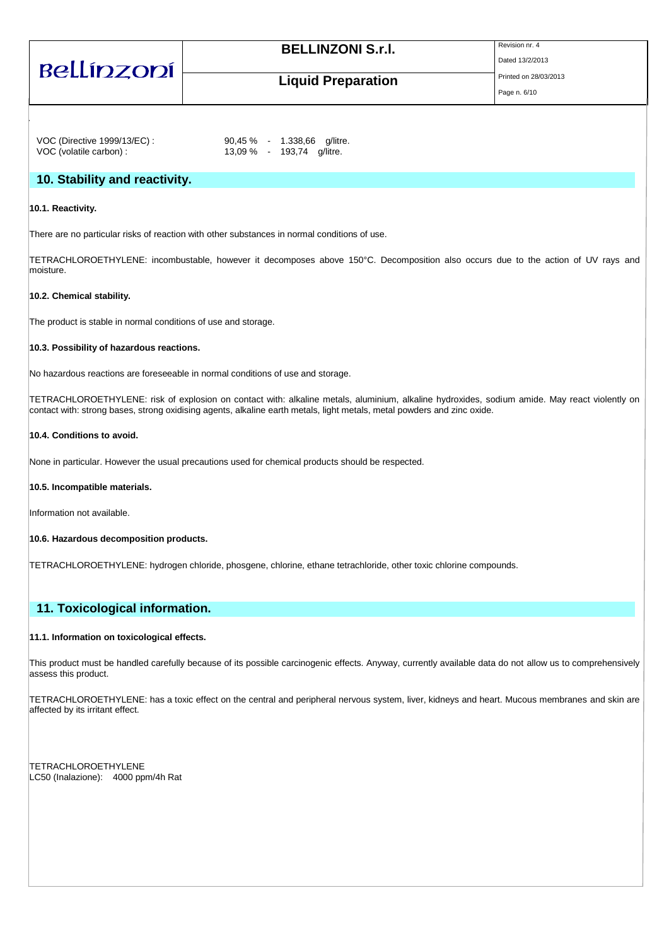Bellínzoní

### Dated 13/2/2013

# **Liquid Preparation**

Page n. 6/10

VOC (Directive 1999/13/EC) : 90,45 % - 1.338,66 g/litre. VOC (volatile carbon) : 13,09 % - 193,74 g/litre.

### **10. Stability and reactivity.**

### **10.1. Reactivity.**

There are no particular risks of reaction with other substances in normal conditions of use.

TETRACHLOROETHYLENE: incombustable, however it decomposes above 150°C. Decomposition also occurs due to the action of UV rays and moisture.

### **10.2. Chemical stability.**

The product is stable in normal conditions of use and storage.

### **10.3. Possibility of hazardous reactions.**

No hazardous reactions are foreseeable in normal conditions of use and storage.

TETRACHLOROETHYLENE: risk of explosion on contact with: alkaline metals, aluminium, alkaline hydroxides, sodium amide. May react violently on contact with: strong bases, strong oxidising agents, alkaline earth metals, light metals, metal powders and zinc oxide.

### **10.4. Conditions to avoid.**

None in particular. However the usual precautions used for chemical products should be respected.

#### **10.5. Incompatible materials.**

Information not available.

#### **10.6. Hazardous decomposition products.**

TETRACHLOROETHYLENE: hydrogen chloride, phosgene, chlorine, ethane tetrachloride, other toxic chlorine compounds.

### **11. Toxicological information.**

### **11.1. Information on toxicological effects.**

This product must be handled carefully because of its possible carcinogenic effects. Anyway, currently available data do not allow us to comprehensively assess this product.

TETRACHLOROETHYLENE: has a toxic effect on the central and peripheral nervous system, liver, kidneys and heart. Mucous membranes and skin are affected by its irritant effect.

TETRACHLOROETHYLENE LC50 (Inalazione): 4000 ppm/4h Rat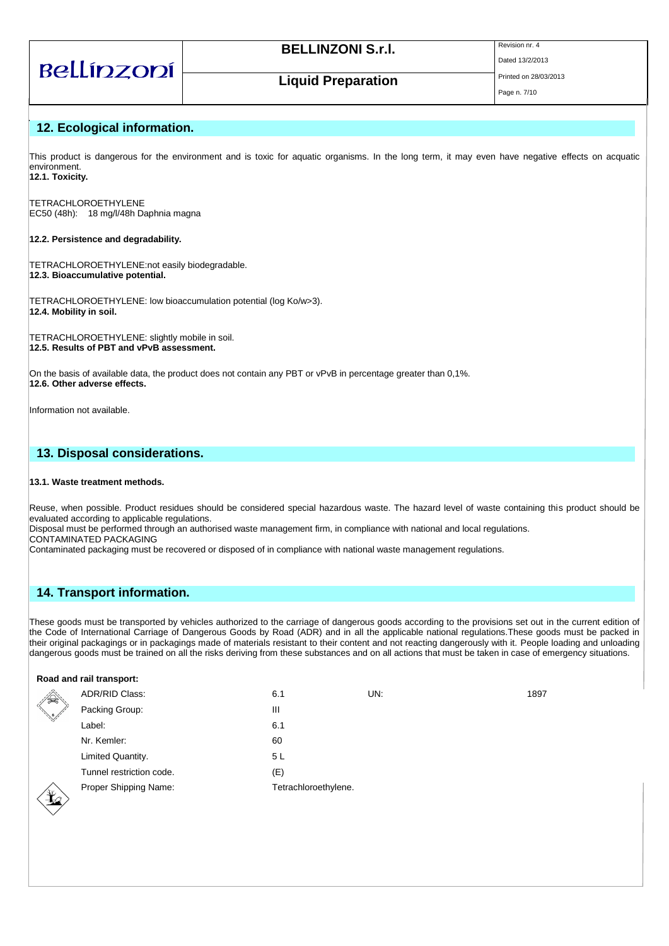# Bellínzoní

# **BELLINZONI S.r.I.** Revision nr. 4

Dated 13/2/2013

# **Liquid Preparation**

# **12. Ecological information.**

This product is dangerous for the environment and is toxic for aquatic organisms. In the long term, it may even have negative effects on acquatic environment. **12.1. Toxicity.**

TETRACHLOROETHYLENE

EC50 (48h): 18 mg/l/48h Daphnia magna

#### **12.2. Persistence and degradability.**

TETRACHLOROETHYLENE:not easily biodegradable. **12.3. Bioaccumulative potential.**

TETRACHLOROETHYLENE: low bioaccumulation potential (log Ko/w>3). **12.4. Mobility in soil.**

TETRACHLOROETHYLENE: slightly mobile in soil. **12.5. Results of PBT and vPvB assessment.**

On the basis of available data, the product does not contain any PBT or vPvB in percentage greater than 0,1%. **12.6. Other adverse effects.**

Information not available.

### **13. Disposal considerations.**

#### **13.1. Waste treatment methods.**

Reuse, when possible. Product residues should be considered special hazardous waste. The hazard level of waste containing this product should be evaluated according to applicable regulations.

Disposal must be performed through an authorised waste management firm, in compliance with national and local regulations. CONTAMINATED PACKAGING

Contaminated packaging must be recovered or disposed of in compliance with national waste management regulations.

### **14. Transport information.**

These goods must be transported by vehicles authorized to the carriage of dangerous goods according to the provisions set out in the current edition of the Code of International Carriage of Dangerous Goods by Road (ADR) and in all the applicable national regulations.These goods must be packed in their original packagings or in packagings made of materials resistant to their content and not reacting dangerously with it. People loading and unloading dangerous goods must be trained on all the risks deriving from these substances and on all actions that must be taken in case of emergency situations.

|              | Road and rail transport: |                      |     |      |
|--------------|--------------------------|----------------------|-----|------|
| $\mathbb{Z}$ | ADR/RID Class:           | 6.1                  | UN: | 1897 |
| $\sqrt{2}$   | Packing Group:           | Ш                    |     |      |
|              | Label:                   | 6.1                  |     |      |
|              | Nr. Kemler:              | 60                   |     |      |
|              | Limited Quantity.        | 5 L                  |     |      |
|              | Tunnel restriction code. | (E)                  |     |      |
|              | Proper Shipping Name:    | Tetrachloroethylene. |     |      |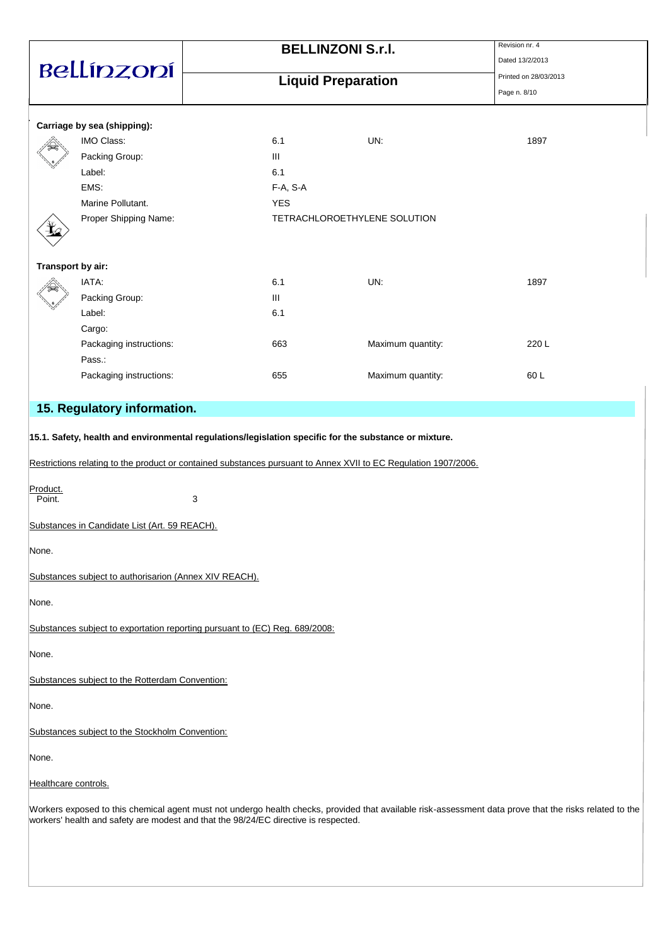|                      |                                                                                     |   |                           | <b>BELLINZONI S.r.I.</b>                                                                                        | Revision nr. 4<br>Dated 13/2/2013                                                                                                                       |
|----------------------|-------------------------------------------------------------------------------------|---|---------------------------|-----------------------------------------------------------------------------------------------------------------|---------------------------------------------------------------------------------------------------------------------------------------------------------|
|                      | Bellínzoní                                                                          |   | <b>Liquid Preparation</b> |                                                                                                                 | Printed on 28/03/2013                                                                                                                                   |
|                      |                                                                                     |   |                           |                                                                                                                 | Page n. 8/10                                                                                                                                            |
|                      | Carriage by sea (shipping):                                                         |   |                           |                                                                                                                 |                                                                                                                                                         |
|                      | IMO Class:                                                                          |   | 6.1                       | UN:                                                                                                             | 1897                                                                                                                                                    |
|                      | Packing Group:                                                                      |   | Ш                         |                                                                                                                 |                                                                                                                                                         |
|                      | Label:                                                                              |   | 6.1                       |                                                                                                                 |                                                                                                                                                         |
|                      | EMS:                                                                                |   | F-A, S-A                  |                                                                                                                 |                                                                                                                                                         |
|                      | Marine Pollutant.                                                                   |   | <b>YES</b>                |                                                                                                                 |                                                                                                                                                         |
|                      | Proper Shipping Name:                                                               |   |                           | TETRACHLOROETHYLENE SOLUTION                                                                                    |                                                                                                                                                         |
| Transport by air:    |                                                                                     |   |                           |                                                                                                                 |                                                                                                                                                         |
|                      | IATA:                                                                               |   | 6.1                       | UN:                                                                                                             | 1897                                                                                                                                                    |
|                      | Packing Group:                                                                      |   | Ш                         |                                                                                                                 |                                                                                                                                                         |
|                      | Label:                                                                              |   | 6.1                       |                                                                                                                 |                                                                                                                                                         |
|                      | Cargo:                                                                              |   |                           |                                                                                                                 |                                                                                                                                                         |
|                      | Packaging instructions:                                                             |   | 663                       | Maximum quantity:                                                                                               | 220 L                                                                                                                                                   |
|                      | Pass.:                                                                              |   |                           |                                                                                                                 |                                                                                                                                                         |
|                      | Packaging instructions:                                                             |   | 655                       | Maximum quantity:                                                                                               | 60L                                                                                                                                                     |
|                      | 15. Regulatory information.                                                         |   |                           |                                                                                                                 |                                                                                                                                                         |
|                      |                                                                                     |   |                           |                                                                                                                 |                                                                                                                                                         |
|                      |                                                                                     |   |                           | 15.1. Safety, health and environmental regulations/legislation specific for the substance or mixture.           |                                                                                                                                                         |
|                      |                                                                                     |   |                           | Restrictions relating to the product or contained substances pursuant to Annex XVII to EC Regulation 1907/2006. |                                                                                                                                                         |
| Product.<br>Point.   |                                                                                     | 3 |                           |                                                                                                                 |                                                                                                                                                         |
|                      | Substances in Candidate List (Art. 59 REACH).                                       |   |                           |                                                                                                                 |                                                                                                                                                         |
| None.                |                                                                                     |   |                           |                                                                                                                 |                                                                                                                                                         |
|                      | Substances subject to authorisarion (Annex XIV REACH).                              |   |                           |                                                                                                                 |                                                                                                                                                         |
| None.                |                                                                                     |   |                           |                                                                                                                 |                                                                                                                                                         |
|                      | Substances subject to exportation reporting pursuant to (EC) Reg. 689/2008:         |   |                           |                                                                                                                 |                                                                                                                                                         |
| None.                |                                                                                     |   |                           |                                                                                                                 |                                                                                                                                                         |
|                      | Substances subject to the Rotterdam Convention:                                     |   |                           |                                                                                                                 |                                                                                                                                                         |
| None.                |                                                                                     |   |                           |                                                                                                                 |                                                                                                                                                         |
|                      | Substances subject to the Stockholm Convention:                                     |   |                           |                                                                                                                 |                                                                                                                                                         |
| None.                |                                                                                     |   |                           |                                                                                                                 |                                                                                                                                                         |
| Healthcare controls. |                                                                                     |   |                           |                                                                                                                 |                                                                                                                                                         |
|                      | workers' health and safety are modest and that the 98/24/EC directive is respected. |   |                           |                                                                                                                 | Workers exposed to this chemical agent must not undergo health checks, provided that available risk-assessment data prove that the risks related to the |
|                      |                                                                                     |   |                           |                                                                                                                 |                                                                                                                                                         |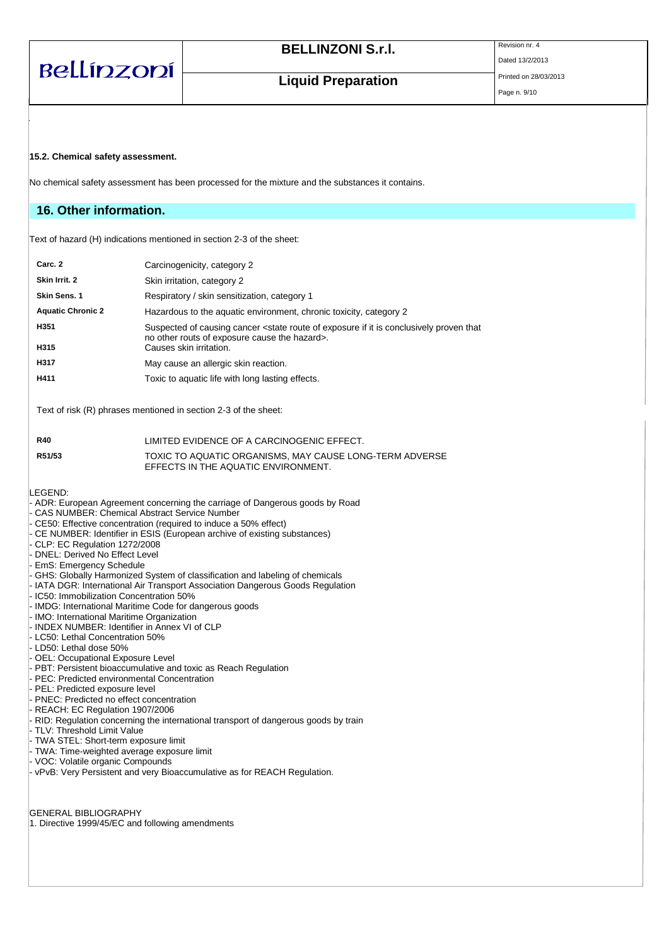| Bellínzoní |  |  |
|------------|--|--|
|            |  |  |

Dated 13/2/2013

**Liquid Preparation** 

#### **15.2. Chemical safety assessment.**

No chemical safety assessment has been processed for the mixture and the substances it contains.

### **16. Other information.**

Text of hazard (H) indications mentioned in section 2-3 of the sheet:

| Carc. 2                  | Carcinogenicity, category 2                                                                                                                                                   |
|--------------------------|-------------------------------------------------------------------------------------------------------------------------------------------------------------------------------|
| Skin Irrit. 2            | Skin irritation, category 2                                                                                                                                                   |
| Skin Sens. 1             | Respiratory / skin sensitization, category 1                                                                                                                                  |
| <b>Aquatic Chronic 2</b> | Hazardous to the aquatic environment, chronic toxicity, category 2                                                                                                            |
| H <sub>351</sub>         | Suspected of causing cancer <state conclusively="" exposure="" if="" is="" it="" of="" proven="" route="" that<br="">no other routs of exposure cause the hazard&gt;.</state> |
| H315                     | Causes skin irritation.                                                                                                                                                       |
| H317                     | May cause an allergic skin reaction.                                                                                                                                          |
| H411                     | Toxic to aquatic life with long lasting effects.                                                                                                                              |

Text of risk (R) phrases mentioned in section 2-3 of the sheet:

| <b>R40</b> | LIMITED EVIDENCE OF A CARCINOGENIC EFFECT.                                                     |
|------------|------------------------------------------------------------------------------------------------|
| R51/53     | TOXIC TO AQUATIC ORGANISMS. MAY CAUSE LONG-TERM ADVERSE<br>EFFECTS IN THE AQUATIC ENVIRONMENT. |

#### LEGEND:

- ADR: European Agreement concerning the carriage of Dangerous goods by Road
- CAS NUMBER: Chemical Abstract Service Number
- CE50: Effective concentration (required to induce a 50% effect)
- CE NUMBER: Identifier in ESIS (European archive of existing substances)
- CLP: EC Regulation 1272/2008
- DNEL: Derived No Effect Level
- EmS: Emergency Schedule
- GHS: Globally Harmonized System of classification and labeling of chemicals
- IATA DGR: International Air Transport Association Dangerous Goods Regulation
- IC50: Immobilization Concentration 50%
- IMDG: International Maritime Code for dangerous goods
- IMO: International Maritime Organization
- INDEX NUMBER: Identifier in Annex VI of CLP
- LC50: Lethal Concentration 50%
- LD50: Lethal dose 50%
- OEL: Occupational Exposure Level
- PBT: Persistent bioaccumulative and toxic as Reach Regulation
- PEC: Predicted environmental Concentration
- PEL: Predicted exposure level
- PNEC: Predicted no effect concentration
- REACH: EC Regulation 1907/2006
- RID: Regulation concerning the international transport of dangerous goods by train
- TLV: Threshold Limit Value
- TWA STEL: Short-term exposure limit
- TWA: Time-weighted average exposure limit
- VOC: Volatile organic Compounds
- vPvB: Very Persistent and very Bioaccumulative as for REACH Regulation.

GENERAL BIBLIOGRAPHY

1. Directive 1999/45/EC and following amendments